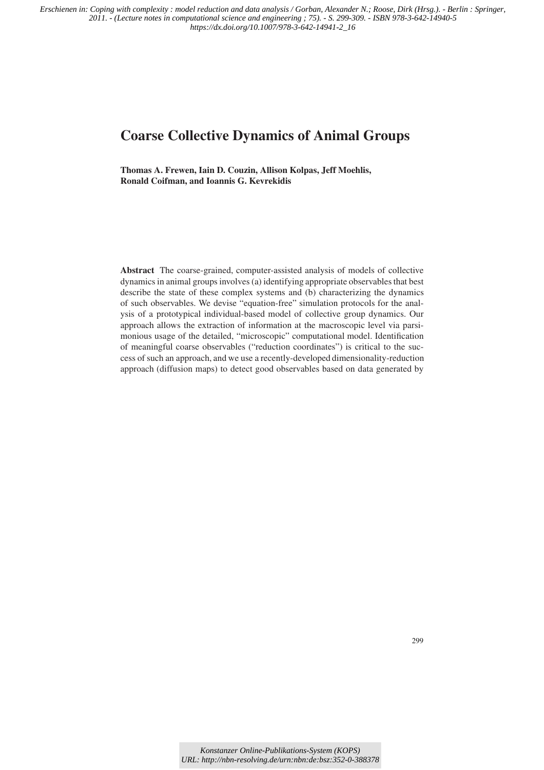*Erschienen in: Coping with complexity : model reduction and data analysis / Gorban, Alexander N.; Roose, Dirk (Hrsg.). - Berlin : Springer, 2011. - (Lecture notes in computational science and engineering ; 75). - S. 299-309. - ISBN 978-3-642-14940-5 https://dx.doi.org/10.1007/978-3-642-14941-2\_16*

# **Coarse Collective Dynamics of Animal Groups**

**Thomas A. Frewen, Iain D. Couzin, Allison Kolpas, Jeff Moehlis, Ronald Coifman, and Ioannis G. Kevrekidis**

**Abstract** The coarse-grained, computer-assisted analysis of models of collective dynamics in animal groups involves (a) identifying appropriate observables that best describe the state of these complex systems and (b) characterizing the dynamics of such observables. We devise "equation-free" simulation protocols for the analysis of a prototypical individual-based model of collective group dynamics. Our approach allows the extraction of information at the macroscopic level via parsimonious usage of the detailed, "microscopic" computational model. Identification of meaningful coarse observables ("reduction coordinates") is critical to the success of such an approach, and we use a recently-developed dimensionality-reduction approach (diffusion maps) to detect good observables based on data generated by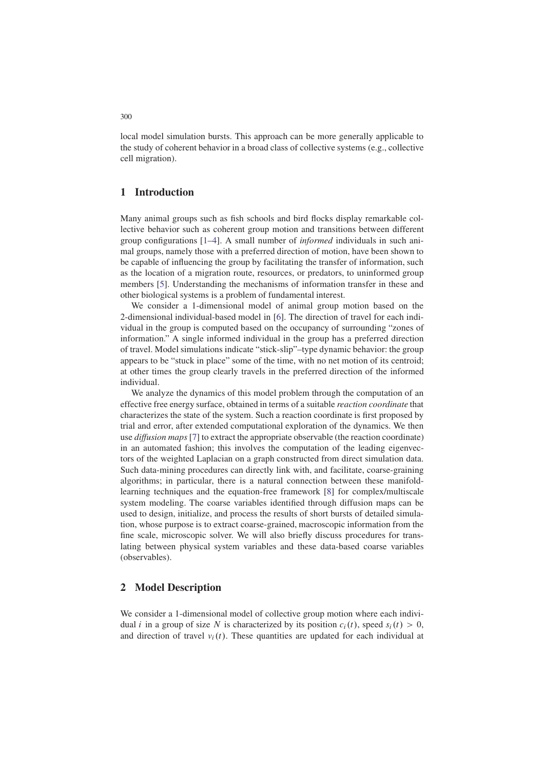local model simulation bursts. This approach can be more generally applicable to the study of coherent behavior in a broad class of collective systems (e.g., collective cell migration).

## **1 Introduction**

Many animal groups such as fish schools and bird flocks display remarkable collective behavior such as coherent group motion and transitions between different group configurations [1–4]. A small number of *informed* individuals in such animal groups, namely those with a preferred direction of motion, have been shown to be capable of influencing the group by facilitating the transfer of information, such as the location of a migration route, resources, or predators, to uninformed group members [5]. Understanding the mechanisms of information transfer in these and other biological systems is a problem of fundamental interest.

We consider a 1-dimensional model of animal group motion based on the 2-dimensional individual-based model in [6]. The direction of travel for each individual in the group is computed based on the occupancy of surrounding "zones of information." A single informed individual in the group has a preferred direction of travel. Model simulations indicate "stick-slip"–type dynamic behavior: the group appears to be "stuck in place" some of the time, with no net motion of its centroid; at other times the group clearly travels in the preferred direction of the informed individual.

We analyze the dynamics of this model problem through the computation of an effective free energy surface, obtained in terms of a suitable *reaction coordinate* that characterizes the state of the system. Such a reaction coordinate is first proposed by trial and error, after extended computational exploration of the dynamics. We then use *diffusion maps*[7] to extract the appropriate observable (the reaction coordinate) in an automated fashion; this involves the computation of the leading eigenvectors of the weighted Laplacian on a graph constructed from direct simulation data. Such data-mining procedures can directly link with, and facilitate, coarse-graining algorithms; in particular, there is a natural connection between these manifoldlearning techniques and the equation-free framework [8] for complex/multiscale system modeling. The coarse variables identified through diffusion maps can be used to design, initialize, and process the results of short bursts of detailed simulation, whose purpose is to extract coarse-grained, macroscopic information from the fine scale, microscopic solver. We will also briefly discuss procedures for translating between physical system variables and these data-based coarse variables (observables).

### **2 Model Description**

We consider a 1-dimensional model of collective group motion where each individual *i* in a group of size N is characterized by its position  $c_i(t)$ , speed  $s_i(t) > 0$ , and direction of travel  $v_i(t)$ . These quantities are updated for each individual at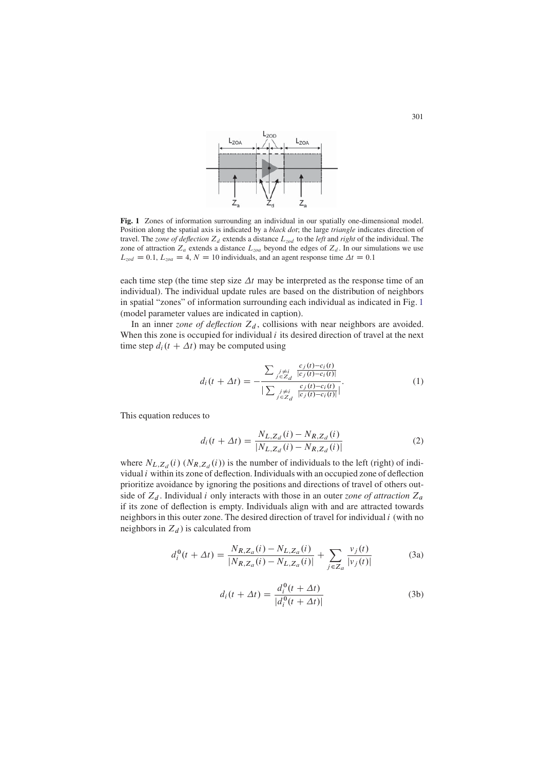

**Fig. 1** Zones of information surrounding an individual in our spatially one-dimensional model. Position along the spatial axis is indicated by a *black dot*; the large *triangle* indicates direction of travel. The *zone of deflection*  $Z_d$  extends a distance  $L_{zod}$  to the *left* and *right* of the individual. The zone of attraction  $Z_a$  extends a distance  $L_{zoa}$  beyond the edges of  $Z_d$ . In our simulations we use  $L_{zod} = 0.1, L_{zoa} = 4, N = 10$  individuals, and an agent response time  $\Delta t = 0.1$ 

each time step (the time step size  $\Delta t$  may be interpreted as the response time of an individual). The individual update rules are based on the distribution of neighbors in spatial "zones" of information surrounding each individual as indicated in Fig. 1 (model parameter values are indicated in caption).

In an inner *zone of deflection*  $Z_d$ , collisions with near neighbors are avoided. When this zone is occupied for individual  $i$  its desired direction of travel at the next time step  $d_i(t + \Delta t)$  may be computed using

$$
d_i(t + \Delta t) = -\frac{\sum_{\substack{j \neq i \\ j \in Z_d}} \frac{c_j(t) - c_i(t)}{|c_j(t) - c_i(t)|}}{|\sum_{\substack{j \neq i \\ j \in Z_d}} \frac{c_j(t) - c_i(t)}{|c_j(t) - c_i(t)|}|}.
$$
(1)

This equation reduces to

$$
d_i(t + \Delta t) = \frac{N_{L, Z_d}(i) - N_{R, Z_d}(i)}{|N_{L, Z_d}(i) - N_{R, Z_d}(i)|}
$$
(2)

where  $N_{L,Z_d}(i)$   $(N_{R,Z_d}(i))$  is the number of individuals to the left (right) of individual  $i$  within its zone of deflection. Individuals with an occupied zone of deflection prioritize avoidance by ignoring the positions and directions of travel of others outside of  $Z_d$ . Individual *i* only interacts with those in an outer *zone of attraction*  $Z_a$ if its zone of deflection is empty. Individuals align with and are attracted towards neighbors in this outer zone. The desired direction of travel for individual  $i$  (with no neighbors in  $Z_d$ ) is calculated from

$$
d_i^0(t + \Delta t) = \frac{N_{R,Z_a}(i) - N_{L,Z_a}(i)}{|N_{R,Z_a}(i) - N_{L,Z_a}(i)|} + \sum_{j \in Z_a} \frac{v_j(t)}{|v_j(t)|}
$$
(3a)

$$
d_i(t + \Delta t) = \frac{d_i^0(t + \Delta t)}{|d_i^0(t + \Delta t)|}
$$
\n(3b)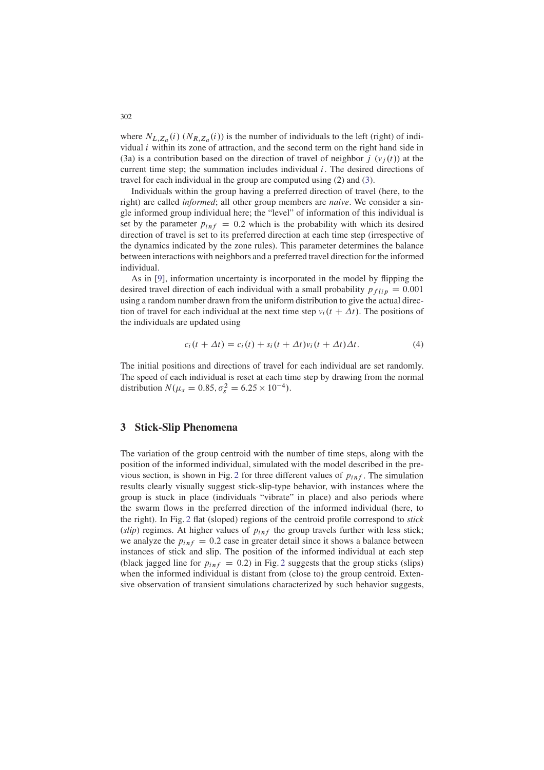where  $N_{L,Z_a}(i)$   $(N_{R,Z_a}(i))$  is the number of individuals to the left (right) of individual  $i$  within its zone of attraction, and the second term on the right hand side in (3a) is a contribution based on the direction of travel of neighbor  $j(\nu_i(t))$  at the current time step; the summation includes individual  $i$ . The desired directions of travel for each individual in the group are computed using (2) and (3).

Individuals within the group having a preferred direction of travel (here, to the right) are called *informed*; all other group members are *naive*. We consider a single informed group individual here; the "level" of information of this individual is set by the parameter  $p_{inf} = 0.2$  which is the probability with which its desired direction of travel is set to its preferred direction at each time step (irrespective of the dynamics indicated by the zone rules). This parameter determines the balance between interactions with neighbors and a preferred travel direction for the informed individual.

As in [9], information uncertainty is incorporated in the model by flipping the desired travel direction of each individual with a small probability  $p_{flip} = 0.001$ using a random number drawn from the uniform distribution to give the actual direction of travel for each individual at the next time step  $v_i(t + \Delta t)$ . The positions of the individuals are updated using

$$
c_i(t + \Delta t) = c_i(t) + s_i(t + \Delta t)v_i(t + \Delta t)\Delta t.
$$
 (4)

The initial positions and directions of travel for each individual are set randomly. The speed of each individual is reset at each time step by drawing from the normal distribution  $N(\mu_s = 0.85, \sigma_s^2 = 6.25 \times 10^{-4})$ .

### **3 Stick-Slip Phenomena**

The variation of the group centroid with the number of time steps, along with the position of the informed individual, simulated with the model described in the previous section, is shown in Fig. 2 for three different values of  $p_{inf}$ . The simulation results clearly visually suggest stick-slip-type behavior, with instances where the group is stuck in place (individuals "vibrate" in place) and also periods where the swarm flows in the preferred direction of the informed individual (here, to the right). In Fig. 2 flat (sloped) regions of the centroid profile correspond to *stick* ( $slip$ ) regimes. At higher values of  $p_{inf}$  the group travels further with less stick; we analyze the  $p_{inf} = 0.2$  case in greater detail since it shows a balance between instances of stick and slip. The position of the informed individual at each step (black jagged line for  $p_{inf} = 0.2$ ) in Fig. 2 suggests that the group sticks (slips) when the informed individual is distant from (close to) the group centroid. Extensive observation of transient simulations characterized by such behavior suggests,

302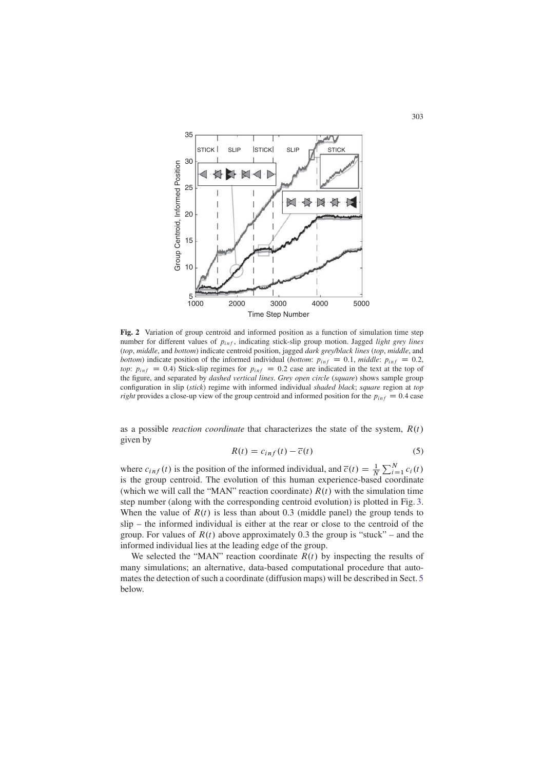

**Fig. 2** Variation of group centroid and informed position as a function of simulation time step number for different values of  $p_{inf}$ , indicating stick-slip group motion. Jagged *light grey lines* (*top*, *middle*, and *bottom*) indicate centroid position, jagged *dark grey/black lines* (*top*, *middle*, and *bottom*) indicate position of the informed individual (*bottom:*  $p_{inf} = 0.1$ , *middle:*  $p_{inf} = 0.2$ , *top*:  $p_{inf} = 0.4$ ) Stick-slip regimes for  $p_{inf} = 0.2$  case are indicated in the text at the top of the figure, and separated by *dashed vertical lines*. *Grey open circle* (*square*) shows sample group configuration in slip (*stick*) regime with informed individual *shaded black*; *square* region at *top right* provides a close-up view of the group centroid and informed position for the  $p_{inf} = 0.4$  case

as a possible *reaction coordinate* that characterizes the state of the system,  $R(t)$ given by

$$
R(t) = c_{inf}(t) - \overline{c}(t)
$$
\n(5)

where  $c_{inf}(t)$  is the position of the informed individual, and  $\overline{c}(t) = \frac{1}{N} \sum_{i=1}^{N} c_i(t)$ is the group centroid. The evolution of this human experience-based coordinate (which we will call the "MAN" reaction coordinate)  $R(t)$  with the simulation time step number (along with the corresponding centroid evolution) is plotted in Fig. 3. When the value of  $R(t)$  is less than about 0.3 (middle panel) the group tends to slip – the informed individual is either at the rear or close to the centroid of the group. For values of  $R(t)$  above approximately 0.3 the group is "stuck" – and the informed individual lies at the leading edge of the group.

We selected the "MAN" reaction coordinate  $R(t)$  by inspecting the results of many simulations; an alternative, data-based computational procedure that automates the detection of such a coordinate (diffusion maps) will be described in Sect. 5 below.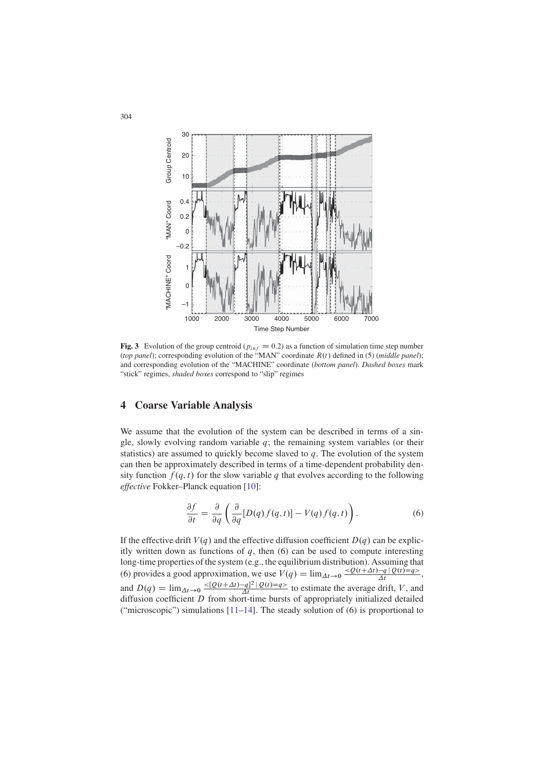

**Fig. 3** Evolution of the group centroid ( $p_{inf} = 0.2$ ) as a function of simulation time step number (*top panel*); corresponding evolution of the "MAN" coordinate  $R(t)$  defined in (5) (*middle panel*); and corresponding evolution of the "MACHINE" coordinate (*bottom panel*). *Dashed boxes* mark "stick" regimes, *shaded boxes* correspond to "slip" regimes

## **4 Coarse Variable Analysis**

We assume that the evolution of the system can be described in terms of a single, slowly evolving random variable  $q$ ; the remaining system variables (or their statistics) are assumed to quickly become slaved to  $q$ . The evolution of the system can then be approximately described in terms of a time-dependent probability density function  $f(q, t)$  for the slow variable q that evolves according to the following *effective* Fokker–Planck equation [10]:

$$
\frac{\partial f}{\partial t} = \frac{\partial}{\partial q} \left( \frac{\partial}{\partial q} [D(q)f(q,t)] - V(q)f(q,t) \right). \tag{6}
$$

If the effective drift  $V(q)$  and the effective diffusion coefficient  $D(q)$  can be explicitly written down as functions of  $q$ , then  $(6)$  can be used to compute interesting long-time properties of the system (e.g., the equilibrium distribution). Assuming that (6) provides a good approximation, we use  $V(q) = \lim_{\Delta t \to 0} \frac{Q(t + \Delta t) - q | Q(t) = q}{\Delta t}$ , and  $D(q) = \lim_{\Delta t \to 0} \frac{-(Q(t+\Delta t)-q)^2|Q(t)=q}{\Delta t}$  to estimate the average drift, V, and diffusion coefficient D from short-time bursts of appropriately initialized detailed ("microscopic") simulations [11–14]. The steady solution of (6) is proportional to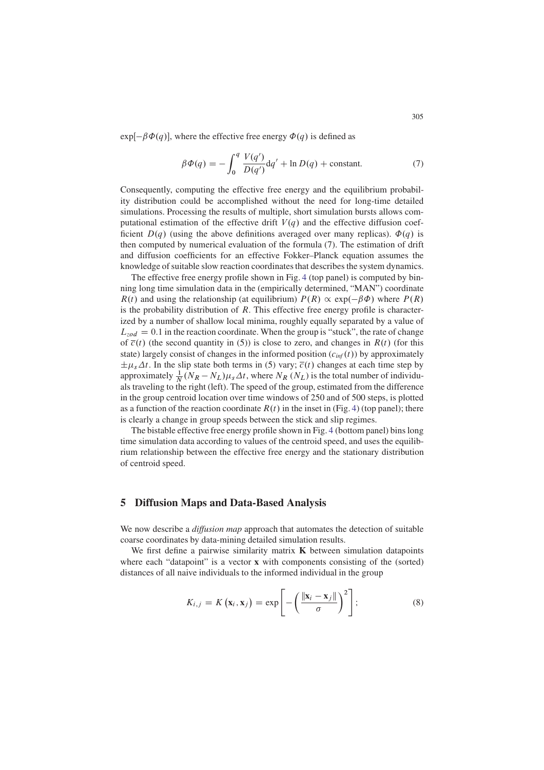$exp[-\beta \Phi(q)]$ , where the effective free energy  $\Phi(q)$  is defined as

$$
\beta \Phi(q) = -\int_0^q \frac{V(q')}{D(q')} dq' + \ln D(q) + \text{constant.}
$$
\n(7)

Consequently, computing the effective free energy and the equilibrium probability distribution could be accomplished without the need for long-time detailed simulations. Processing the results of multiple, short simulation bursts allows computational estimation of the effective drift  $V(q)$  and the effective diffusion coefficient  $D(q)$  (using the above definitions averaged over many replicas).  $\Phi(q)$  is then computed by numerical evaluation of the formula (7). The estimation of drift and diffusion coefficients for an effective Fokker–Planck equation assumes the knowledge of suitable slow reaction coordinates that describes the system dynamics.

The effective free energy profile shown in Fig. 4 (top panel) is computed by binning long time simulation data in the (empirically determined, "MAN") coordinate  $R(t)$  and using the relationship (at equilibrium)  $P(R) \propto \exp(-\beta \Phi)$  where  $P(R)$ is the probability distribution of  $R$ . This effective free energy profile is characterized by a number of shallow local minima, roughly equally separated by a value of  $L_{zod} = 0.1$  in the reaction coordinate. When the group is "stuck", the rate of change of  $\overline{c}(t)$  (the second quantity in (5)) is close to zero, and changes in  $R(t)$  (for this state) largely consist of changes in the informed position  $(c_{\text{inf}}(t))$  by approximately  $\pm \mu_s \Delta t$ . In the slip state both terms in (5) vary;  $\overline{c}(t)$  changes at each time step by approximately  $\frac{1}{N}(N_R - N_L)\mu_s \Delta t$ , where  $N_R(N_L)$  is the total number of individuals traveling to the right (left). The speed of the group, estimated from the difference in the group centroid location over time windows of 250 and of 500 steps, is plotted as a function of the reaction coordinate  $R(t)$  in the inset in (Fig. 4) (top panel); there is clearly a change in group speeds between the stick and slip regimes.

The bistable effective free energy profile shown in Fig. 4 (bottom panel) bins long time simulation data according to values of the centroid speed, and uses the equilibrium relationship between the effective free energy and the stationary distribution of centroid speed.

### **5 Diffusion Maps and Data-Based Analysis**

We now describe a *diffusion map* approach that automates the detection of suitable coarse coordinates by data-mining detailed simulation results.

We first define a pairwise similarity matrix **K** between simulation datapoints where each "datapoint" is a vector **x** with components consisting of the (sorted) distances of all naive individuals to the informed individual in the group

$$
K_{i,j} = K(\mathbf{x}_i, \mathbf{x}_j) = \exp\left[-\left(\frac{\|\mathbf{x}_i - \mathbf{x}_j\|}{\sigma}\right)^2\right];\tag{8}
$$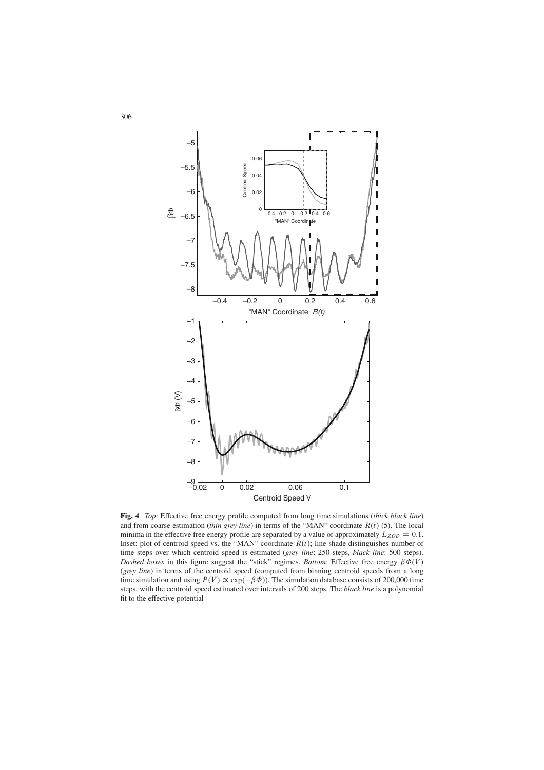

**Fig. 4** *Top*: Effective free energy profile computed from long time simulations (*thick black line*) and from coarse estimation *(thin grey line)* in terms of the "MAN" coordinate  $R(t)$  (5). The local minima in the effective free energy profile are separated by a value of approximately  $L_{ZOD} = 0.1$ . Inset: plot of centroid speed vs. the "MAN" coordinate  $R(t)$ ; line shade distinguishes number of time steps over which centroid speed is estimated (*grey line*: 250 steps, *black line*: 500 steps). *Dashed boxes* in this figure suggest the "stick" regimes. *Bottom*: Effective free energy  $\beta \Phi(V)$ . (*grey line*) in terms of the centroid speed (computed from binning centroid speeds from a long time simulation and using  $P(V) \propto \exp(-\beta \Phi)$ ). The simulation database consists of 200,000 time steps, with the centroid speed estimated over intervals of 200 steps. The *black line* is a polynomial fit to the effective potential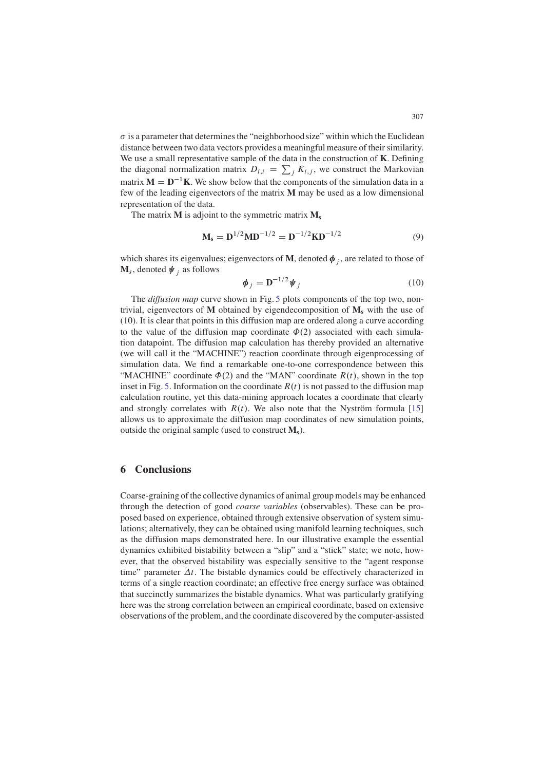$\sigma$  is a parameter that determines the "neighborhood size" within which the Euclidean distance between two data vectors provides a meaningful measure of their similarity. We use a small representative sample of the data in the construction of **K**. Defining the diagonal normalization matrix  $D_{i,i} = \sum_j K_{i,j}$ , we construct the Markovian matrix  $M = D^{-1}K$ . We show below that the components of the simulation data in a few of the leading eigenvectors of the matrix **M** may be used as a low dimensional representation of the data.

The matrix **M** is adjoint to the symmetric matrix **Ms**

$$
M_s = D^{1/2} M D^{-1/2} = D^{-1/2} K D^{-1/2}
$$
 (9)

which shares its eigenvalues; eigenvectors of M, denoted  $\phi_i$ , are related to those of  $M_s$ , denoted  $\psi_i$  as follows

$$
\boldsymbol{\phi}_j = \mathbf{D}^{-1/2} \boldsymbol{\psi}_j \tag{10}
$$

The *diffusion map* curve shown in Fig. 5 plots components of the top two, nontrivial, eigenvectors of **M** obtained by eigendecomposition of  $M_s$  with the use of (10). It is clear that points in this diffusion map are ordered along a curve according to the value of the diffusion map coordinate  $\Phi(2)$  associated with each simulation datapoint. The diffusion map calculation has thereby provided an alternative (we will call it the "MACHINE") reaction coordinate through eigenprocessing of simulation data. We find a remarkable one-to-one correspondence between this "MACHINE" coordinate  $\Phi(2)$  and the "MAN" coordinate  $R(t)$ , shown in the top inset in Fig. 5. Information on the coordinate  $R(t)$  is not passed to the diffusion map calculation routine, yet this data-mining approach locates a coordinate that clearly and strongly correlates with  $R(t)$ . We also note that the Nyström formula [15] allows us to approximate the diffusion map coordinates of new simulation points, outside the original sample (used to construct  $M_s$ ).

#### **6 Conclusions**

Coarse-graining of the collective dynamics of animal group models may be enhanced through the detection of good *coarse variables* (observables). These can be proposed based on experience, obtained through extensive observation of system simulations; alternatively, they can be obtained using manifold learning techniques, such as the diffusion maps demonstrated here. In our illustrative example the essential dynamics exhibited bistability between a "slip" and a "stick" state; we note, however, that the observed bistability was especially sensitive to the "agent response time" parameter  $\Delta t$ . The bistable dynamics could be effectively characterized in terms of a single reaction coordinate; an effective free energy surface was obtained that succinctly summarizes the bistable dynamics. What was particularly gratifying here was the strong correlation between an empirical coordinate, based on extensive observations of the problem, and the coordinate discovered by the computer-assisted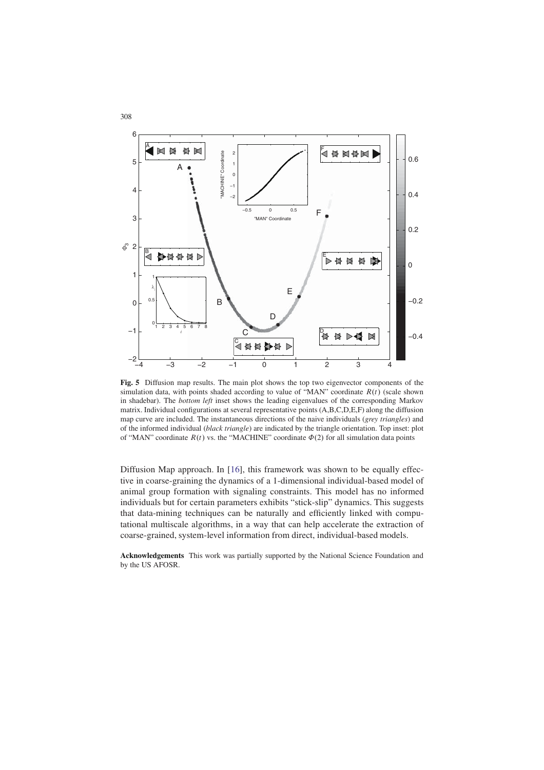

**Fig. 5** Diffusion map results. The main plot shows the top two eigenvector components of the simulation data, with points shaded according to value of "MAN" coordinate  $R(t)$  (scale shown in shadebar). The *bottom left* inset shows the leading eigenvalues of the corresponding Markov matrix. Individual configurations at several representative points (A,B,C,D,E,F) along the diffusion map curve are included. The instantaneous directions of the naive individuals (*grey triangles*) and of the informed individual (*black triangle*) are indicated by the triangle orientation. Top inset: plot of "MAN" coordinate  $R(t)$  vs. the "MACHINE" coordinate  $\Phi(2)$  for all simulation data points

Diffusion Map approach. In [16], this framework was shown to be equally effective in coarse-graining the dynamics of a 1-dimensional individual-based model of animal group formation with signaling constraints. This model has no informed individuals but for certain parameters exhibits "stick-slip" dynamics. This suggests that data-mining techniques can be naturally and efficiently linked with computational multiscale algorithms, in a way that can help accelerate the extraction of coarse-grained, system-level information from direct, individual-based models.

**Acknowledgements** This work was partially supported by the National Science Foundation and by the US AFOSR.

308